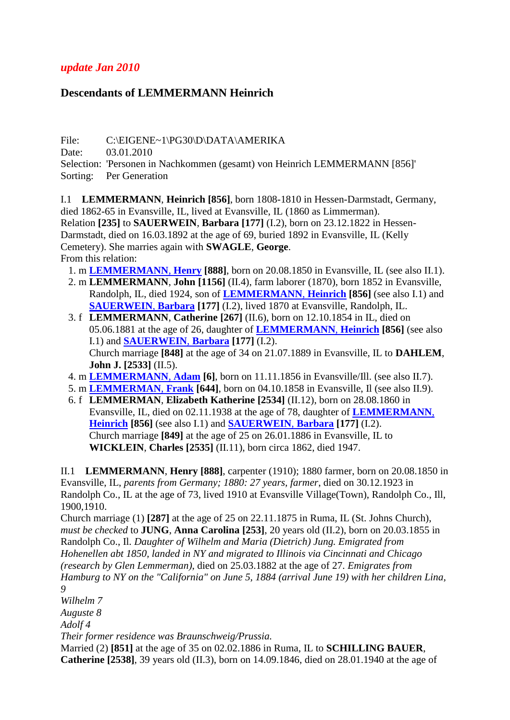## *update Jan 2010*

## **Descendants of LEMMERMANN Heinrich**

File: C:\EIGENE~1\PG30\D\DATA\AMERIKA

Date: 03.01.2010

Selection: 'Personen in Nachkommen (gesamt) von Heinrich LEMMERMANN [856]' Sorting: Per Generation

<span id="page-0-2"></span><span id="page-0-1"></span>I.1 **LEMMERMANN**, **Heinrich [856]**, born 1808-1810 in Hessen-Darmstadt, Germany, died 1862-65 in Evansville, IL, lived at Evansville, IL (1860 as Limmerman). Relation **[235]** to **SAUERWEIN**, **Barbara [177]** (I.2), born on 23.12.1822 in Hessen-Darmstadt, died on 16.03.1892 at the age of 69, buried 1892 in Evansville, IL (Kelly Cemetery). She marries again with **SWAGLE**, **George**. From this relation:

- 1. m **[LEMMERMANN](#page-0-0)**, **Henry [888]**, born on 20.08.1850 in Evansville, IL (see also II.1).
- 2. m **LEMMERMANN**, **John [1156]** (II.4), farm laborer (1870), born 1852 in Evansville, Randolph, IL, died 1924, son of **[LEMMERMANN](#page-0-1)**, **Heinrich [856]** (see also I.1) and **[SAUERWEIN](#page-0-2)**, **Barbara [177]** (I.2), lived 1870 at Evansville, Randolph, IL.
- 3. f **LEMMERMANN**, **Catherine [267]** (II.6), born on 12.10.1854 in IL, died on 05.06.1881 at the age of 26, daughter of **[LEMMERMANN](#page-0-1)**, **Heinrich [856]** (see also I.1) and **[SAUERWEIN](#page-0-2)**, **Barbara [177]** (I.2). Church marriage **[848]** at the age of 34 on 21.07.1889 in Evansville, IL to **DAHLEM**, **John J. [2533]** (II.5).
- 4. m **[LEMMERMANN](#page-1-0)**, **Adam [6]**, born on 11.11.1856 in Evansville/Ill. (see also II.7).
- 5. m **[LEMMERMAN](#page-1-1)**, **Frank [644]**, born on 04.10.1858 in Evansville, Il (see also II.9).
- 6. f **LEMMERMAN**, **Elizabeth Katherine [2534]** (II.12), born on 28.08.1860 in Evansville, IL, died on 02.11.1938 at the age of 78, daughter of **[LEMMERMANN](#page-0-1)**, **[Heinrich](#page-0-1) [856]** (see also I.1) and **[SAUERWEIN](#page-0-2)**, **Barbara [177]** (I.2). Church marriage **[849]** at the age of 25 on 26.01.1886 in Evansville, IL to **WICKLEIN**, **Charles [2535]** (II.11), born circa 1862, died 1947.

<span id="page-0-0"></span>II.1 **LEMMERMANN**, **Henry [888]**, carpenter (1910); 1880 farmer, born on 20.08.1850 in Evansville, IL, *parents from Germany; 1880: 27 years, farmer*, died on 30.12.1923 in Randolph Co., IL at the age of 73, lived 1910 at Evansville Village(Town), Randolph Co., Ill, 1900,1910.

<span id="page-0-3"></span>Church marriage (1) **[287]** at the age of 25 on 22.11.1875 in Ruma, IL (St. Johns Church), *must be checked* to **JUNG**, **Anna Carolina [253]**, 20 years old (II.2), born on 20.03.1855 in Randolph Co., Il. *Daughter of Wilhelm and Maria (Dietrich) Jung. Emigrated from Hohenellen abt 1850, landed in NY and migrated to Illinois via Cincinnati and Chicago (research by Glen Lemmerman)*, died on 25.03.1882 at the age of 27. *Emigrates from Hamburg to NY on the "California" on June 5, 1884 (arrival June 19) with her children Lina, 9*

*Wilhelm 7*

*Auguste 8*

*Adolf 4*

*Their former residence was Braunschweig/Prussia.*

<span id="page-0-4"></span>Married (2) **[851]** at the age of 35 on 02.02.1886 in Ruma, IL to **SCHILLING BAUER**, **Catherine [2538]**, 39 years old (II.3), born on 14.09.1846, died on 28.01.1940 at the age of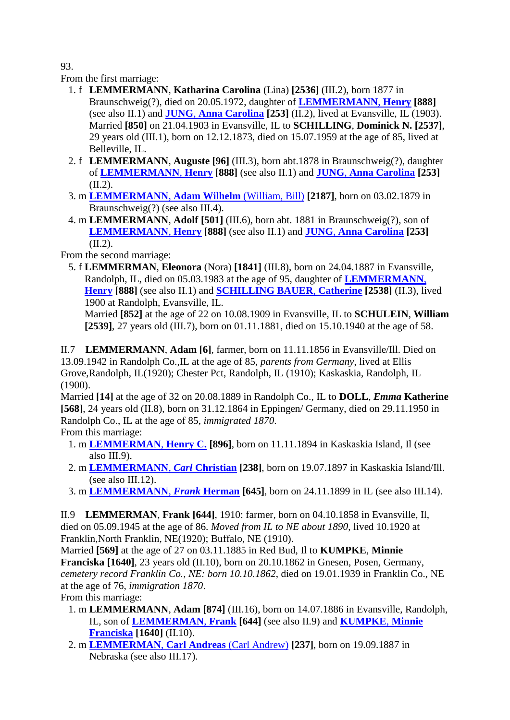93.

From the first marriage:

- 1. f **LEMMERMANN**, **Katharina Carolina** (Lina) **[2536]** (III.2), born 1877 in Braunschweig(?), died on 20.05.1972, daughter of **[LEMMERMANN](#page-0-0)**, **Henry [888]** (see also II.1) and **JUNG**, **[Anna Carolina](#page-0-3) [253]** (II.2), lived at Evansville, IL (1903). Married **[850]** on 21.04.1903 in Evansville, IL to **SCHILLING**, **Dominick N. [2537]**, 29 years old (III.1), born on 12.12.1873, died on 15.07.1959 at the age of 85, lived at Belleville, IL.
- 2. f **LEMMERMANN**, **Auguste [96]** (III.3), born abt.1878 in Braunschweig(?), daughter of **[LEMMERMANN](#page-0-0)**, **Henry [888]** (see also II.1) and **JUNG**, **[Anna Carolina](#page-0-3) [253]**  $(II.2)$ .
- 3. m **[LEMMERMANN](#page-2-0)**, **Adam Wilhelm** (William, Bill) **[2187]**, born on 03.02.1879 in Braunschweig(?) (see also III.4).
- 4. m **LEMMERMANN**, **Adolf [501]** (III.6), born abt. 1881 in Braunschweig(?), son of **[LEMMERMANN](#page-0-0)**, **Henry [888]** (see also II.1) and **JUNG**, **[Anna Carolina](#page-0-3) [253]**  $(II.2).$

From the second marriage:

 5. f **LEMMERMAN**, **Eleonora** (Nora) **[1841]** (III.8), born on 24.04.1887 in Evansville, Randolph, IL, died on 05.03.1983 at the age of 95, daughter of **[LEMMERMANN](#page-0-0)**, **[Henry](#page-0-0) [888]** (see also II.1) and **[SCHILLING BAUER](#page-0-4)**, **Catherine [2538]** (II.3), lived 1900 at Randolph, Evansville, IL.

Married **[852]** at the age of 22 on 10.08.1909 in Evansville, IL to **SCHULEIN**, **William [2539]**, 27 years old (III.7), born on 01.11.1881, died on 15.10.1940 at the age of 58.

<span id="page-1-0"></span>II.7 **LEMMERMANN**, **Adam [6]**, farmer, born on 11.11.1856 in Evansville/Ill. Died on 13.09.1942 in Randolph Co.,IL at the age of 85, *parents from Germany*, lived at Ellis Grove,Randolph, IL(1920); Chester Pct, Randolph, IL (1910); Kaskaskia, Randolph, IL (1900).

Married **[14]** at the age of 32 on 20.08.1889 in Randolph Co., IL to **DOLL**, *Emma* **Katherine [568]**, 24 years old (II.8), born on 31.12.1864 in Eppingen/ Germany, died on 29.11.1950 in Randolph Co., IL at the age of 85, *immigrated 1870*.

From this marriage:

- 1. m **[LEMMERMAN](#page-3-0)**, **Henry C. [896]**, born on 11.11.1894 in Kaskaskia Island, Il (see also III.9).
- 2. m **[LEMMERMANN](#page-3-1)**, *Carl* **Christian [238]**, born on 19.07.1897 in Kaskaskia Island/Ill. (see also III.12).
- 3. m **[LEMMERMANN](#page-3-2)**, *Frank* **Herman [645]**, born on 24.11.1899 in IL (see also III.14).

<span id="page-1-1"></span>II.9 **LEMMERMAN**, **Frank [644]**, 1910: farmer, born on 04.10.1858 in Evansville, Il, died on 05.09.1945 at the age of 86. *Moved from IL to NE about 1890*, lived 10.1920 at Franklin,North Franklin, NE(1920); Buffalo, NE (1910).

Married **[569]** at the age of 27 on 03.11.1885 in Red Bud, Il to **KUMPKE**, **Minnie Franciska [1640]**, 23 years old (II.10), born on 20.10.1862 in Gnesen, Posen, Germany, *cemetery record Franklin Co., NE: born 10.10.1862*, died on 19.01.1939 in Franklin Co., NE at the age of 76, *immigration 1870*. From this marriage:

- <span id="page-1-2"></span> 1. m **LEMMERMANN**, **Adam [874]** (III.16), born on 14.07.1886 in Evansville, Randolph, IL, son of **[LEMMERMAN](#page-1-1)**, **Frank [644]** (see also II.9) and **[KUMPKE](#page-1-2)**, **Minnie [Franciska](#page-1-2) [1640]** (II.10).
- 2. m **[LEMMERMAN](#page-3-3)**, **Carl Andreas** (Carl Andrew) **[237]**, born on 19.09.1887 in Nebraska (see also III.17).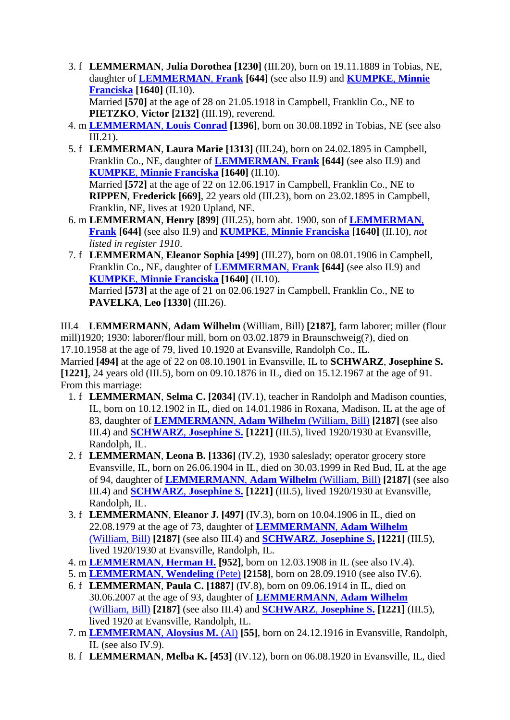3. f **LEMMERMAN**, **Julia Dorothea [1230]** (III.20), born on 19.11.1889 in Tobias, NE, daughter of **[LEMMERMAN](#page-1-1)**, **Frank [644]** (see also II.9) and **[KUMPKE](#page-1-2)**, **Minnie [Franciska](#page-1-2) [1640]** (II.10).

Married **[570]** at the age of 28 on 21.05.1918 in Campbell, Franklin Co., NE to **PIETZKO**, **Victor [2132]** (III.19), reverend.

- 4. m **[LEMMERMAN](#page-4-0)**, **Louis Conrad [1396]**, born on 30.08.1892 in Tobias, NE (see also III.21).
- 5. f **LEMMERMAN**, **Laura Marie [1313]** (III.24), born on 24.02.1895 in Campbell, Franklin Co., NE, daughter of **[LEMMERMAN](#page-1-1)**, **Frank [644]** (see also II.9) and **KUMPKE**, **[Minnie Franciska](#page-1-2) [1640]** (II.10). Married **[572]** at the age of 22 on 12.06.1917 in Campbell, Franklin Co., NE to **RIPPEN**, **Frederick [669]**, 22 years old (III.23), born on 23.02.1895 in Campbell, Franklin, NE, lives at 1920 Upland, NE.
- 6. m **LEMMERMAN**, **Henry [899]** (III.25), born abt. 1900, son of **[LEMMERMAN](#page-1-1)**, **[Frank](#page-1-1) [644]** (see also II.9) and **KUMPKE**, **[Minnie Franciska](#page-1-2) [1640]** (II.10), *not listed in register 1910*.
- 7. f **LEMMERMAN**, **Eleanor Sophia [499]** (III.27), born on 08.01.1906 in Campbell, Franklin Co., NE, daughter of **[LEMMERMAN](#page-1-1)**, **Frank [644]** (see also II.9) and **KUMPKE**, **[Minnie Franciska](#page-1-2) [1640]** (II.10). Married **[573]** at the age of 21 on 02.06.1927 in Campbell, Franklin Co., NE to **PAVELKA**, **Leo [1330]** (III.26).

<span id="page-2-0"></span>III.4 **LEMMERMANN**, **Adam Wilhelm** (William, Bill) **[2187]**, farm laborer; miller (flour mill)1920; 1930: laborer/flour mill, born on 03.02.1879 in Braunschweig(?), died on 17.10.1958 at the age of 79, lived 10.1920 at Evansville, Randolph Co., IL. Married **[494]** at the age of 22 on 08.10.1901 in Evansville, IL to **SCHWARZ**, **Josephine S. [1221]**, 24 years old (III.5), born on 09.10.1876 in IL, died on 15.12.1967 at the age of 91. From this marriage:

- <span id="page-2-1"></span> 1. f **LEMMERMAN**, **Selma C. [2034]** (IV.1), teacher in Randolph and Madison counties, IL, born on 10.12.1902 in IL, died on 14.01.1986 in Roxana, Madison, IL at the age of 83, daughter of **[LEMMERMANN](#page-2-0)**, **Adam Wilhelm** (William, Bill) **[2187]** (see also III.4) and **SCHWARZ**, **[Josephine S.](#page-2-1) [1221]** (III.5), lived 1920/1930 at Evansville, Randolph, IL.
- 2. f **LEMMERMAN**, **Leona B. [1336]** (IV.2), 1930 saleslady; operator grocery store Evansville, IL, born on 26.06.1904 in IL, died on 30.03.1999 in Red Bud, IL at the age of 94, daughter of **[LEMMERMANN](#page-2-0)**, **Adam Wilhelm** (William, Bill) **[2187]** (see also III.4) and **SCHWARZ**, **[Josephine S.](#page-2-1) [1221]** (III.5), lived 1920/1930 at Evansville, Randolph, IL.
- 3. f **LEMMERMANN**, **Eleanor J. [497]** (IV.3), born on 10.04.1906 in IL, died on 22.08.1979 at the age of 73, daughter of **[LEMMERMANN](#page-2-0)**, **Adam Wilhelm** [\(William, Bill\)](#page-2-0) **[2187]** (see also III.4) and **SCHWARZ**, **[Josephine S.](#page-2-1) [1221]** (III.5), lived 1920/1930 at Evansville, Randolph, IL.
- 4. m **[LEMMERMAN](#page-4-1)**, **Herman H. [952]**, born on 12.03.1908 in IL (see also IV.4).
- 5. m **[LEMMERMAN](#page-4-2)**, **Wendeling** (Pete) **[2158]**, born on 28.09.1910 (see also IV.6).
- 6. f **LEMMERMAN**, **Paula C. [1887]** (IV.8), born on 09.06.1914 in IL, died on 30.06.2007 at the age of 93, daughter of **[LEMMERMANN](#page-2-0)**, **Adam Wilhelm** [\(William, Bill\)](#page-2-0) **[2187]** (see also III.4) and **SCHWARZ**, **[Josephine S.](#page-2-1) [1221]** (III.5), lived 1920 at Evansville, Randolph, IL.
- 7. m **[LEMMERMAN](#page-4-3)**, **Aloysius M.** (Al) **[55]**, born on 24.12.1916 in Evansville, Randolph, IL (see also IV.9).
- 8. f **LEMMERMAN**, **Melba K. [453]** (IV.12), born on 06.08.1920 in Evansville, IL, died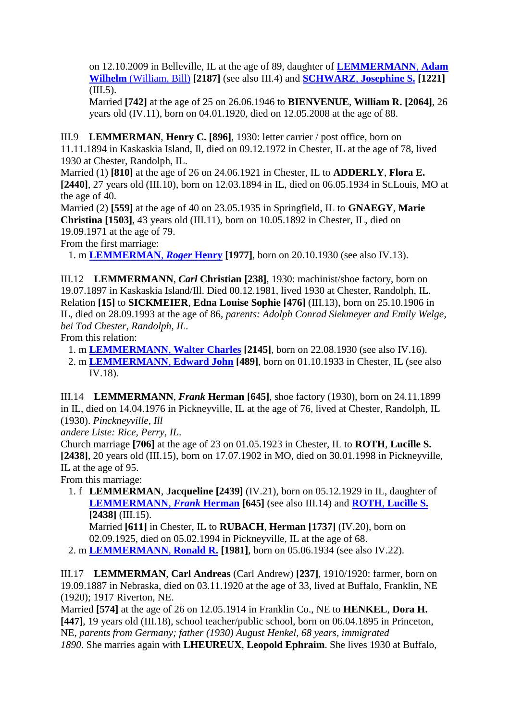on 12.10.2009 in Belleville, IL at the age of 89, daughter of **[LEMMERMANN](#page-2-0)**, **Adam Wilhelm** [\(William, Bill\)](#page-2-0) **[2187]** (see also III.4) and **SCHWARZ**, **[Josephine S.](#page-2-1) [1221]** (III.5).

Married **[742]** at the age of 25 on 26.06.1946 to **BIENVENUE**, **William R. [2064]**, 26 years old (IV.11), born on 04.01.1920, died on 12.05.2008 at the age of 88.

<span id="page-3-0"></span>III.9 **LEMMERMAN**, **Henry C. [896]**, 1930: letter carrier / post office, born on

11.11.1894 in Kaskaskia Island, Il, died on 09.12.1972 in Chester, IL at the age of 78, lived 1930 at Chester, Randolph, IL.

Married (1) **[810]** at the age of 26 on 24.06.1921 in Chester, IL to **ADDERLY**, **Flora E. [2440]**, 27 years old (III.10), born on 12.03.1894 in IL, died on 06.05.1934 in St.Louis, MO at the age of 40.

Married (2) **[559]** at the age of 40 on 23.05.1935 in Springfield, IL to **GNAEGY**, **Marie Christina [1503]**, 43 years old (III.11), born on 10.05.1892 in Chester, IL, died on 19.09.1971 at the age of 79.

From the first marriage:

1. m **[LEMMERMAN](#page-5-0)**, *Roger* **Henry [1977]**, born on 20.10.1930 (see also IV.13).

<span id="page-3-1"></span>III.12 **LEMMERMANN**, *Carl* **Christian [238]**, 1930: machinist/shoe factory, born on 19.07.1897 in Kaskaskia Island/Ill. Died 00.12.1981, lived 1930 at Chester, Randolph, IL. Relation **[15]** to **SICKMEIER**, **Edna Louise Sophie [476]** (III.13), born on 25.10.1906 in IL, died on 28.09.1993 at the age of 86, *parents: Adolph Conrad Siekmeyer and Emily Welge*, *bei Tod Chester, Randolph, IL*.

From this relation:

1. m **[LEMMERMANN](#page-5-1)**, **Walter Charles [2145]**, born on 22.08.1930 (see also IV.16).

 2. m **[LEMMERMANN](#page-5-2)**, **Edward John [489]**, born on 01.10.1933 in Chester, IL (see also IV.18).

<span id="page-3-2"></span>III.14 **LEMMERMANN**, *Frank* **Herman [645]**, shoe factory (1930), born on 24.11.1899 in IL, died on 14.04.1976 in Pickneyville, IL at the age of 76, lived at Chester, Randolph, IL (1930). *Pinckneyville, Ill*

*andere Liste: Rice, Perry, IL*.

Church marriage **[706]** at the age of 23 on 01.05.1923 in Chester, IL to **ROTH**, **Lucille S. [2438]**, 20 years old (III.15), born on 17.07.1902 in MO, died on 30.01.1998 in Pickneyville, IL at the age of 95.

From this marriage:

 1. f **LEMMERMAN**, **Jacqueline [2439]** (IV.21), born on 05.12.1929 in IL, daughter of **[LEMMERMANN](#page-3-2)**, *Frank* **Herman [645]** (see also III.14) and **ROTH**, **[Lucille S.](#page-3-4) [2438]** (III.15).

<span id="page-3-5"></span><span id="page-3-4"></span>Married **[611]** in Chester, IL to **RUBACH**, **Herman [1737]** (IV.20), born on 02.09.1925, died on 05.02.1994 in Pickneyville, IL at the age of 68.

2. m **[LEMMERMANN](#page-6-0)**, **Ronald R. [1981]**, born on 05.06.1934 (see also IV.22).

<span id="page-3-3"></span>III.17 **LEMMERMAN**, **Carl Andreas** (Carl Andrew) **[237]**, 1910/1920: farmer, born on 19.09.1887 in Nebraska, died on 03.11.1920 at the age of 33, lived at Buffalo, Franklin, NE (1920); 1917 Riverton, NE.

Married **[574]** at the age of 26 on 12.05.1914 in Franklin Co., NE to **HENKEL**, **Dora H. [447]**, 19 years old (III.18), school teacher/public school, born on 06.04.1895 in Princeton, NE, *parents from Germany; father (1930) August Henkel, 68 years, immigrated 1890*. She marries again with **LHEUREUX**, **Leopold Ephraim**. She lives 1930 at Buffalo,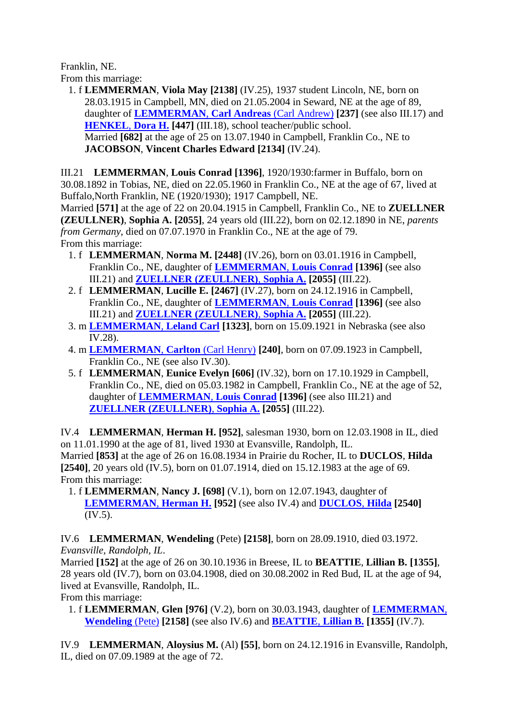Franklin, NE. From this marriage:

 1. f **LEMMERMAN**, **Viola May [2138]** (IV.25), 1937 student Lincoln, NE, born on 28.03.1915 in Campbell, MN, died on 21.05.2004 in Seward, NE at the age of 89, daughter of **[LEMMERMAN](#page-3-3)**, **Carl Andreas** (Carl Andrew) **[237]** (see also III.17) and **[HENKEL](#page-3-5)**, **Dora H. [447]** (III.18), school teacher/public school. Married **[682]** at the age of 25 on 13.07.1940 in Campbell, Franklin Co., NE to **JACOBSON**, **Vincent Charles Edward [2134]** (IV.24).

<span id="page-4-0"></span>III.21 **LEMMERMAN**, **Louis Conrad [1396]**, 1920/1930:farmer in Buffalo, born on 30.08.1892 in Tobias, NE, died on 22.05.1960 in Franklin Co., NE at the age of 67, lived at Buffalo,North Franklin, NE (1920/1930); 1917 Campbell, NE.

Married **[571]** at the age of 22 on 20.04.1915 in Campbell, Franklin Co., NE to **ZUELLNER (ZEULLNER)**, **Sophia A. [2055]**, 24 years old (III.22), born on 02.12.1890 in NE, *parents from Germany*, died on 07.07.1970 in Franklin Co., NE at the age of 79. From this marriage:

- <span id="page-4-4"></span> 1. f **LEMMERMAN**, **Norma M. [2448]** (IV.26), born on 03.01.1916 in Campbell, Franklin Co., NE, daughter of **[LEMMERMAN](#page-4-0)**, **Louis Conrad [1396]** (see also III.21) and **[ZUELLNER \(ZEULLNER\)](#page-4-4)**, **Sophia A. [2055]** (III.22).
- 2. f **LEMMERMAN**, **Lucille E. [2467]** (IV.27), born on 24.12.1916 in Campbell, Franklin Co., NE, daughter of **[LEMMERMAN](#page-4-0)**, **Louis Conrad [1396]** (see also III.21) and **[ZUELLNER \(ZEULLNER\)](#page-4-4)**, **Sophia A. [2055]** (III.22).
- 3. m **[LEMMERMAN](#page-6-1)**, **Leland Carl [1323]**, born on 15.09.1921 in Nebraska (see also IV.28).
- 4. m **[LEMMERMAN](#page-6-2)**, **Carlton** (Carl Henry) **[240]**, born on 07.09.1923 in Campbell, Franklin Co., NE (see also IV.30).
- 5. f **LEMMERMAN**, **Eunice Evelyn [606]** (IV.32), born on 17.10.1929 in Campbell, Franklin Co., NE, died on 05.03.1982 in Campbell, Franklin Co., NE at the age of 52, daughter of **[LEMMERMAN](#page-4-0)**, **Louis Conrad [1396]** (see also III.21) and **[ZUELLNER \(ZEULLNER\)](#page-4-4)**, **Sophia A. [2055]** (III.22).

<span id="page-4-1"></span>IV.4 **LEMMERMAN**, **Herman H. [952]**, salesman 1930, born on 12.03.1908 in IL, died on 11.01.1990 at the age of 81, lived 1930 at Evansville, Randolph, IL. Married **[853]** at the age of 26 on 16.08.1934 in Prairie du Rocher, IL to **DUCLOS**, **Hilda [2540]**, 20 years old (IV.5), born on 01.07.1914, died on 15.12.1983 at the age of 69. From this marriage:

<span id="page-4-5"></span> 1. f **LEMMERMAN**, **Nancy J. [698]** (V.1), born on 12.07.1943, daughter of **[LEMMERMAN](#page-4-1)**, **Herman H. [952]** (see also IV.4) and **[DUCLOS](#page-4-5)**, **Hilda [2540]**  $(IV.5)$ .

<span id="page-4-2"></span>IV.6 **LEMMERMAN**, **Wendeling** (Pete) **[2158]**, born on 28.09.1910, died 03.1972. *Evansville, Randolph, IL*.

Married **[152]** at the age of 26 on 30.10.1936 in Breese, IL to **BEATTIE**, **Lillian B. [1355]**, 28 years old (IV.7), born on 03.04.1908, died on 30.08.2002 in Red Bud, IL at the age of 94, lived at Evansville, Randolph, IL. From this marriage:

<span id="page-4-6"></span> 1. f **LEMMERMAN**, **Glen [976]** (V.2), born on 30.03.1943, daughter of **[LEMMERMAN](#page-4-2)**, **[Wendeling](#page-4-2)** (Pete) **[2158]** (see also IV.6) and **[BEATTIE](#page-4-6)**, **Lillian B. [1355]** (IV.7).

<span id="page-4-3"></span>IV.9 **LEMMERMAN**, **Aloysius M.** (Al) **[55]**, born on 24.12.1916 in Evansville, Randolph, IL, died on 07.09.1989 at the age of 72.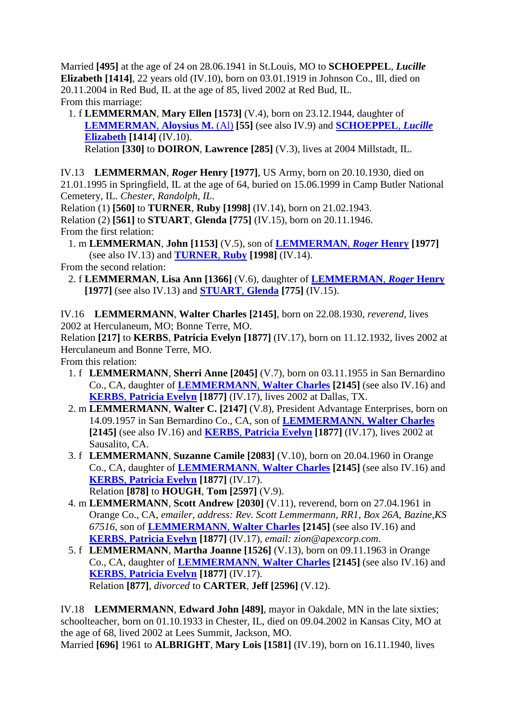Married **[495]** at the age of 24 on 28.06.1941 in St.Louis, MO to **SCHOEPPEL**, *Lucille* **Elizabeth [1414]**, 22 years old (IV.10), born on 03.01.1919 in Johnson Co., Ill, died on 20.11.2004 in Red Bud, IL at the age of 85, lived 2002 at Red Bud, IL. From this marriage:

 1. f **LEMMERMAN**, **Mary Ellen [1573]** (V.4), born on 23.12.1944, daughter of **[LEMMERMAN](#page-4-3)**, **Aloysius M.** (Al) **[55]** (see also IV.9) and **[SCHOEPPEL](#page-5-3)**, *Lucille* **[Elizabeth](#page-5-3) [1414]** (IV.10).

<span id="page-5-4"></span><span id="page-5-3"></span>Relation **[330]** to **DOIRON**, **Lawrence [285]** (V.3), lives at 2004 Millstadt, IL.

<span id="page-5-0"></span>IV.13 **LEMMERMAN**, *Roger* **Henry [1977]**, US Army, born on 20.10.1930, died on 21.01.1995 in Springfield, IL at the age of 64, buried on 15.06.1999 in Camp Butler National Cemetery, IL. *Chester, Randolph, IL*.

Relation (1) **[560]** to **TURNER**, **Ruby [1998]** (IV.14), born on 21.02.1943.

Relation (2) **[561]** to **STUART**, **Glenda [775]** (IV.15), born on 20.11.1946. From the first relation:

<span id="page-5-5"></span> 1. m **LEMMERMAN**, **John [1153]** (V.5), son of **[LEMMERMAN](#page-5-0)**, *Roger* **Henry [1977]** (see also IV.13) and **[TURNER](#page-5-4)**, **Ruby [1998]** (IV.14).

From the second relation:

 2. f **LEMMERMAN**, **Lisa Ann [1366]** (V.6), daughter of **[LEMMERMAN](#page-5-0)**, *Roger* **Henry [1977]** (see also IV.13) and **[STUART](#page-5-5)**, **Glenda [775]** (IV.15).

<span id="page-5-1"></span>IV.16 **LEMMERMANN**, **Walter Charles [2145]**, born on 22.08.1930, *reverend*, lives 2002 at Herculaneum, MO; Bonne Terre, MO.

<span id="page-5-6"></span>Relation **[217]** to **KERBS**, **Patricia Evelyn [1877]** (IV.17), born on 11.12.1932, lives 2002 at Herculaneum and Bonne Terre, MO.

From this relation:

- 1. f **LEMMERMANN**, **Sherri Anne [2045]** (V.7), born on 03.11.1955 in San Bernardino Co., CA, daughter of **[LEMMERMANN](#page-5-1)**, **Walter Charles [2145]** (see also IV.16) and **KERBS**, **[Patricia Evelyn](#page-5-6) [1877]** (IV.17), lives 2002 at Dallas, TX.
- 2. m **LEMMERMANN**, **Walter C. [2147]** (V.8), President Advantage Enterprises, born on 14.09.1957 in San Bernardino Co., CA, son of **[LEMMERMANN](#page-5-1)**, **Walter Charles [2145]** (see also IV.16) and **KERBS**, **[Patricia Evelyn](#page-5-6) [1877]** (IV.17), lives 2002 at Sausalito, CA.
- 3. f **LEMMERMANN**, **Suzanne Camile [2083]** (V.10), born on 20.04.1960 in Orange Co., CA, daughter of **[LEMMERMANN](#page-5-1)**, **Walter Charles [2145]** (see also IV.16) and **KERBS**, **[Patricia Evelyn](#page-5-6) [1877]** (IV.17). Relation **[878]** to **HOUGH**, **Tom [2597]** (V.9).
- 4. m **LEMMERMANN**, **Scott Andrew [2030]** (V.11), reverend, born on 27.04.1961 in Orange Co., CA, *emailer, address: Rev. Scott Lemmermann, RR1, Box 26A, Bazine,KS 67516*, son of **[LEMMERMANN](#page-5-1)**, **Walter Charles [2145]** (see also IV.16) and **KERBS**, **[Patricia Evelyn](#page-5-6) [1877]** (IV.17), *email: zion@apexcorp.com*.
- 5. f **LEMMERMANN**, **Martha Joanne [1526]** (V.13), born on 09.11.1963 in Orange Co., CA, daughter of **[LEMMERMANN](#page-5-1)**, **Walter Charles [2145]** (see also IV.16) and **KERBS**, **[Patricia Evelyn](#page-5-6) [1877]** (IV.17). Relation **[877]**, *divorced* to **CARTER**, **Jeff [2596]** (V.12).

<span id="page-5-2"></span>IV.18 **LEMMERMANN**, **Edward John [489]**, mayor in Oakdale, MN in the late sixties; schoolteacher, born on 01.10.1933 in Chester, IL, died on 09.04.2002 in Kansas City, MO at the age of 68, lived 2002 at Lees Summit, Jackson, MO.

<span id="page-5-7"></span>Married **[696]** 1961 to **ALBRIGHT**, **Mary Lois [1581]** (IV.19), born on 16.11.1940, lives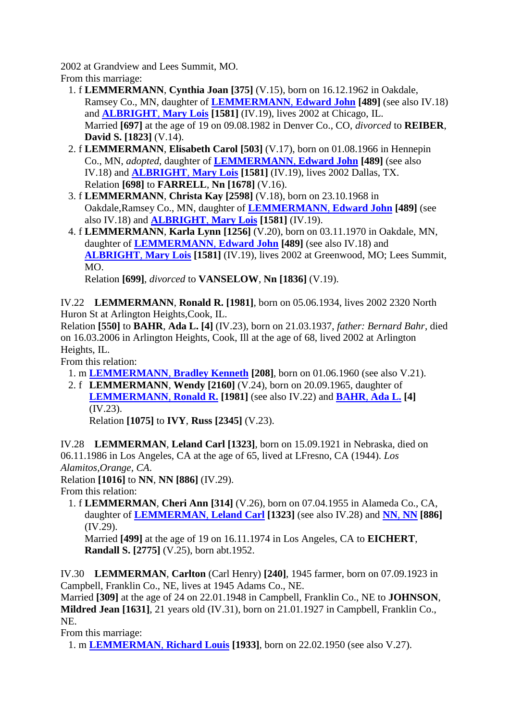2002 at Grandview and Lees Summit, MO. From this marriage:

- 1. f **LEMMERMANN**, **Cynthia Joan [375]** (V.15), born on 16.12.1962 in Oakdale, Ramsey Co., MN, daughter of **[LEMMERMANN](#page-5-2)**, **Edward John [489]** (see also IV.18) and **[ALBRIGHT](#page-5-7)**, **Mary Lois [1581]** (IV.19), lives 2002 at Chicago, IL. Married **[697]** at the age of 19 on 09.08.1982 in Denver Co., CO, *divorced* to **REIBER**, **David S. [1823]** (V.14).
- 2. f **LEMMERMANN**, **Elisabeth Carol [503]** (V.17), born on 01.08.1966 in Hennepin Co., MN, *adopted*, daughter of **[LEMMERMANN](#page-5-2)**, **Edward John [489]** (see also IV.18) and **[ALBRIGHT](#page-5-7)**, **Mary Lois [1581]** (IV.19), lives 2002 Dallas, TX. Relation **[698]** to **FARRELL**, **Nn [1678]** (V.16).
- 3. f **LEMMERMANN**, **Christa Kay [2598]** (V.18), born on 23.10.1968 in Oakdale,Ramsey Co., MN, daughter of **[LEMMERMANN](#page-5-2)**, **Edward John [489]** (see also IV.18) and **[ALBRIGHT](#page-5-7)**, **Mary Lois [1581]** (IV.19).
- 4. f **LEMMERMANN**, **Karla Lynn [1256]** (V.20), born on 03.11.1970 in Oakdale, MN, daughter of **[LEMMERMANN](#page-5-2)**, **Edward John [489]** (see also IV.18) and **[ALBRIGHT](#page-5-7)**, **Mary Lois [1581]** (IV.19), lives 2002 at Greenwood, MO; Lees Summit, MO.

<span id="page-6-3"></span>Relation **[699]**, *divorced* to **VANSELOW**, **Nn [1836]** (V.19).

<span id="page-6-0"></span>IV.22 **LEMMERMANN**, **Ronald R. [1981]**, born on 05.06.1934, lives 2002 2320 North Huron St at Arlington Heights,Cook, IL.

Relation **[550]** to **BAHR**, **Ada L. [4]** (IV.23), born on 21.03.1937, *father: Bernard Bahr*, died on 16.03.2006 in Arlington Heights, Cook, Ill at the age of 68, lived 2002 at Arlington Heights, IL.

From this relation:

- 1. m **[LEMMERMANN](#page-7-0)**, **Bradley Kenneth [208]**, born on 01.06.1960 (see also V.21).
- 2. f **LEMMERMANN**, **Wendy [2160]** (V.24), born on 20.09.1965, daughter of **[LEMMERMANN](#page-6-0)**, **Ronald R. [1981]** (see also IV.22) and **BAHR**, **[Ada L.](#page-6-3) [4]** (IV.23).

Relation **[1075]** to **IVY**, **Russ [2345]** (V.23).

<span id="page-6-1"></span>IV.28 **LEMMERMAN**, **Leland Carl [1323]**, born on 15.09.1921 in Nebraska, died on 06.11.1986 in Los Angeles, CA at the age of 65, lived at LFresno, CA (1944). *Los Alamitos,Orange, CA*.

Relation **[1016]** to **NN**, **NN [886]** (IV.29).

From this relation:

<span id="page-6-4"></span> 1. f **LEMMERMAN**, **Cheri Ann [314]** (V.26), born on 07.04.1955 in Alameda Co., CA, daughter of **[LEMMERMAN](#page-6-1)**, **Leland Carl [1323]** (see also IV.28) and **[NN](#page-6-4)**, **NN [886]** (IV.29).

Married **[499]** at the age of 19 on 16.11.1974 in Los Angeles, CA to **EICHERT**, **Randall S. [2775]** (V.25), born abt.1952.

<span id="page-6-2"></span>IV.30 **LEMMERMAN**, **Carlton** (Carl Henry) **[240]**, 1945 farmer, born on 07.09.1923 in Campbell, Franklin Co., NE, lives at 1945 Adams Co., NE.

Married **[309]** at the age of 24 on 22.01.1948 in Campbell, Franklin Co., NE to **JOHNSON**, **Mildred Jean [1631]**, 21 years old (IV.31), born on 21.01.1927 in Campbell, Franklin Co., NE.

From this marriage:

1. m **[LEMMERMAN](#page-7-1)**, **Richard Louis [1933]**, born on 22.02.1950 (see also V.27).